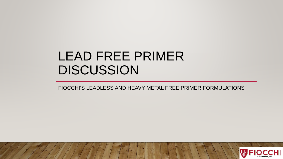# LEAD FREE PRIMER DISCUSSION

FIOCCHI'S LEADLESS AND HEAVY METAL FREE PRIMER FORMULATIONS

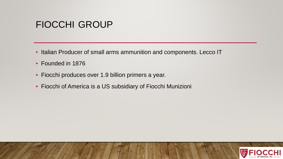### FIOCCHI GROUP

- Italian Producer of small arms ammunition and components. Lecco IT
- Founded in 1876
- Fiocchi produces over 1.9 billion primers a year.
- Fiocchi of America is a US subsidiary of Fiocchi Munizioni

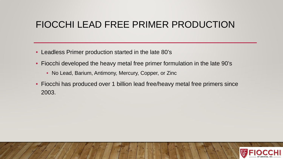## FIOCCHI LEAD FREE PRIMER PRODUCTION

- Leadless Primer production started in the late 80's
- Fiocchi developed the heavy metal free primer formulation in the late 90's
	- No Lead, Barium, Antimony, Mercury, Copper, or Zinc
- Fiocchi has produced over 1 billion lead free/heavy metal free primers since 2003.

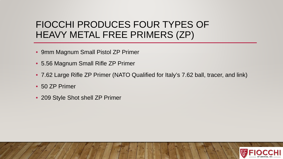## FIOCCHI PRODUCES FOUR TYPES OF HEAVY METAL FREE PRIMERS (ZP)

- 9mm Magnum Small Pistol ZP Primer
- 5.56 Magnum Small Rifle ZP Primer
- 7.62 Large Rifle ZP Primer (NATO Qualified for Italy's 7.62 ball, tracer, and link)
- 50 ZP Primer
- 209 Style Shot shell ZP Primer

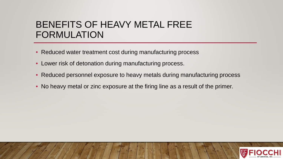### BENEFITS OF HEAVY METAL FREE FORMULATION

- Reduced water treatment cost during manufacturing process
- Lower risk of detonation during manufacturing process.
- Reduced personnel exposure to heavy metals during manufacturing process
- No heavy metal or zinc exposure at the firing line as a result of the primer.

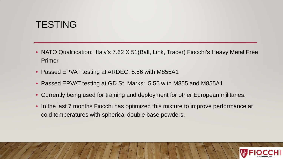### **TESTING**

- NATO Qualification: Italy's 7.62 X 51 (Ball, Link, Tracer) Fiocchi's Heavy Metal Free Primer
- Passed EPVAT testing at ARDEC: 5.56 with M855A1
- Passed EPVAT testing at GD St. Marks: 5.56 with M855 and M855A1
- Currently being used for training and deployment for other European militaries.
- In the last 7 months Fiocchi has optimized this mixture to improve performance at cold temperatures with spherical double base powders.

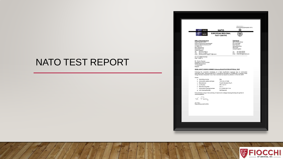#### NATO TEST REPORT

|                                                               |                                                                                           |                          | <b>LITULANIUM</b> 1                                                                                                                                                                      |  |
|---------------------------------------------------------------|-------------------------------------------------------------------------------------------|--------------------------|------------------------------------------------------------------------------------------------------------------------------------------------------------------------------------------|--|
|                                                               |                                                                                           |                          | AC/225(DSS)D(2013)0007 (PFP)                                                                                                                                                             |  |
| <b>NATO</b>                                                   |                                                                                           | <b>NATO</b>              |                                                                                                                                                                                          |  |
|                                                               |                                                                                           | <b>EUROPEAN REGIONAL</b> |                                                                                                                                                                                          |  |
| <b>ERTC</b>                                                   |                                                                                           | <b>TEST CENTRE</b>       |                                                                                                                                                                                          |  |
|                                                               |                                                                                           |                          |                                                                                                                                                                                          |  |
| <b>Office of Superintendent</b>                               |                                                                                           |                          | <b>Test Centre</b>                                                                                                                                                                       |  |
| Superintendent ERTC                                           |                                                                                           |                          | NATO Proof Officer                                                                                                                                                                       |  |
| Defence Equipment and Support<br>Defence General Munitions PT |                                                                                           |                          | ERTC/QinetiQ<br>MoD Pendine                                                                                                                                                              |  |
| Fir 1B #4115                                                  |                                                                                           |                          | Carmarthenshire                                                                                                                                                                          |  |
| MoD Abbeywood<br>Bristol BS34 8JH                             |                                                                                           |                          | <b>SA33 4UA</b><br>United Kingdom                                                                                                                                                        |  |
| United Kingdom                                                |                                                                                           |                          |                                                                                                                                                                                          |  |
| +44 30 679 84016<br>Tel:<br>+44 117 91 39949                  |                                                                                           |                          | +44 1994 452395<br>Tel:<br>+44 1994 453535<br>Fax                                                                                                                                        |  |
| Fax:                                                          | email: DESWpnsDGM-SuptERTC@mod.uk                                                         |                          | Email: SABOWEN@QinetiQ.com                                                                                                                                                               |  |
| Our ref: DGM/7/14/14/2                                        |                                                                                           |                          |                                                                                                                                                                                          |  |
| Date: 13/05/13                                                |                                                                                           |                          |                                                                                                                                                                                          |  |
| Mr. Osman Tasman                                              |                                                                                           |                          |                                                                                                                                                                                          |  |
| Secretary AC/225 LCGDSS                                       |                                                                                           |                          |                                                                                                                                                                                          |  |
| NATO Headquarters<br>1110 Brussels                            |                                                                                           |                          |                                                                                                                                                                                          |  |
| Belgium                                                       |                                                                                           |                          |                                                                                                                                                                                          |  |
|                                                               | ISSUE of NATO DESIGN NUMBER following QUALIFICATION APPROVAL TEST                         |                          |                                                                                                                                                                                          |  |
|                                                               |                                                                                           |                          |                                                                                                                                                                                          |  |
|                                                               |                                                                                           |                          | Following the successful completion of a Nato Qualification Approval Test on ammunition<br>submitted by Italy, Superintendent ERTC requests the Secretary of LCGDSS-SG1 to assign a Nato |  |
|                                                               | Design Number and publish it as a Nato document as required by Section 2 of the MC-MOPI.  |                          |                                                                                                                                                                                          |  |
| Details                                                       |                                                                                           |                          |                                                                                                                                                                                          |  |
| a. Submitting country:                                        |                                                                                           | Italy                    |                                                                                                                                                                                          |  |
|                                                               | b. Ammunition calibre and type:                                                           | 7.62 mm x 51 Ball        |                                                                                                                                                                                          |  |
| c. Manufacturer:                                              |                                                                                           | Fiocchi Munizioni S.p.A. |                                                                                                                                                                                          |  |
| d. Lot Number:                                                |                                                                                           | GFL 1-01-11              |                                                                                                                                                                                          |  |
| e. Manufacturing date:                                        |                                                                                           | $Jun-11$                 |                                                                                                                                                                                          |  |
|                                                               | f. Ammunition Drawing Number:                                                             | 01.707690.M01.70.N       |                                                                                                                                                                                          |  |
| g. Link Drawing Number:                                       |                                                                                           | Not Required             |                                                                                                                                                                                          |  |
|                                                               | Find enclosed a copy of the summary of results and a design drawing showing the symbol of |                          |                                                                                                                                                                                          |  |
| interchangeability.                                           |                                                                                           |                          |                                                                                                                                                                                          |  |
|                                                               |                                                                                           |                          |                                                                                                                                                                                          |  |
| J. Pam                                                        |                                                                                           |                          |                                                                                                                                                                                          |  |
|                                                               |                                                                                           |                          |                                                                                                                                                                                          |  |
| John Parry<br>Superintendent NATO ERTC                        |                                                                                           |                          |                                                                                                                                                                                          |  |
|                                                               |                                                                                           |                          |                                                                                                                                                                                          |  |
|                                                               |                                                                                           |                          |                                                                                                                                                                                          |  |
|                                                               |                                                                                           |                          |                                                                                                                                                                                          |  |
|                                                               |                                                                                           |                          |                                                                                                                                                                                          |  |
|                                                               |                                                                                           |                          |                                                                                                                                                                                          |  |
|                                                               |                                                                                           |                          |                                                                                                                                                                                          |  |
|                                                               |                                                                                           |                          |                                                                                                                                                                                          |  |
|                                                               |                                                                                           |                          |                                                                                                                                                                                          |  |
|                                                               |                                                                                           |                          |                                                                                                                                                                                          |  |
|                                                               |                                                                                           |                          |                                                                                                                                                                                          |  |
|                                                               |                                                                                           |                          |                                                                                                                                                                                          |  |
|                                                               |                                                                                           |                          |                                                                                                                                                                                          |  |
|                                                               |                                                                                           |                          |                                                                                                                                                                                          |  |
|                                                               |                                                                                           |                          |                                                                                                                                                                                          |  |
|                                                               |                                                                                           |                          |                                                                                                                                                                                          |  |

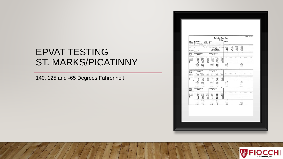## EPVAT TESTING ST. MARKS/PICATINNY

140, 125 and -65 Degrees Fahrenheit